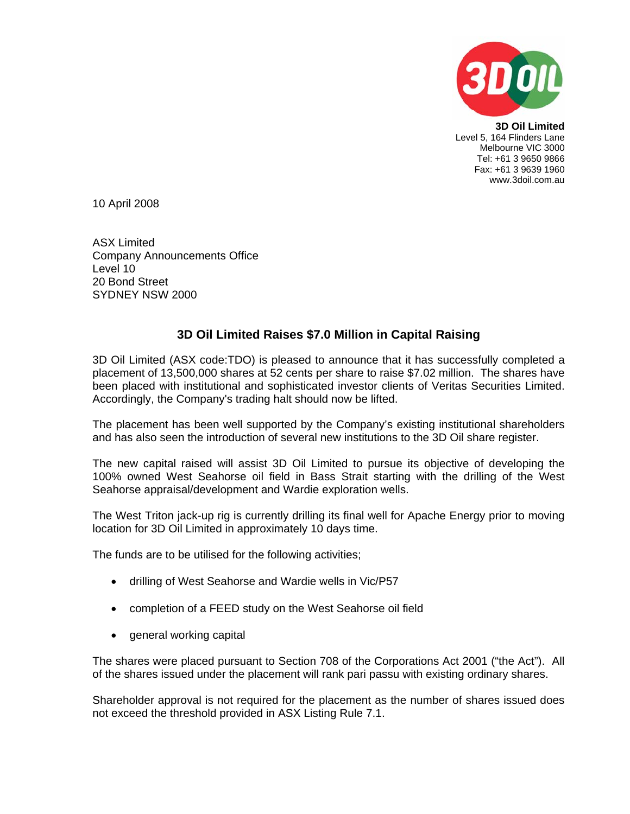

**3D Oil Limited**  Level 5, 164 Flinders Lane Melbourne VIC 3000 Tel: +61 3 9650 9866 Fax: +61 3 9639 1960 www.3doil.com.au

10 April 2008

ASX Limited Company Announcements Office Level 10 20 Bond Street SYDNEY NSW 2000

## **3D Oil Limited Raises \$7.0 Million in Capital Raising**

3D Oil Limited (ASX code:TDO) is pleased to announce that it has successfully completed a placement of 13,500,000 shares at 52 cents per share to raise \$7.02 million. The shares have been placed with institutional and sophisticated investor clients of Veritas Securities Limited. Accordingly, the Company's trading halt should now be lifted.

The placement has been well supported by the Company's existing institutional shareholders and has also seen the introduction of several new institutions to the 3D Oil share register.

The new capital raised will assist 3D Oil Limited to pursue its objective of developing the 100% owned West Seahorse oil field in Bass Strait starting with the drilling of the West Seahorse appraisal/development and Wardie exploration wells.

The West Triton jack-up rig is currently drilling its final well for Apache Energy prior to moving location for 3D Oil Limited in approximately 10 days time.

The funds are to be utilised for the following activities;

- drilling of West Seahorse and Wardie wells in Vic/P57
- completion of a FEED study on the West Seahorse oil field
- general working capital

The shares were placed pursuant to Section 708 of the Corporations Act 2001 ("the Act"). All of the shares issued under the placement will rank pari passu with existing ordinary shares.

Shareholder approval is not required for the placement as the number of shares issued does not exceed the threshold provided in ASX Listing Rule 7.1.